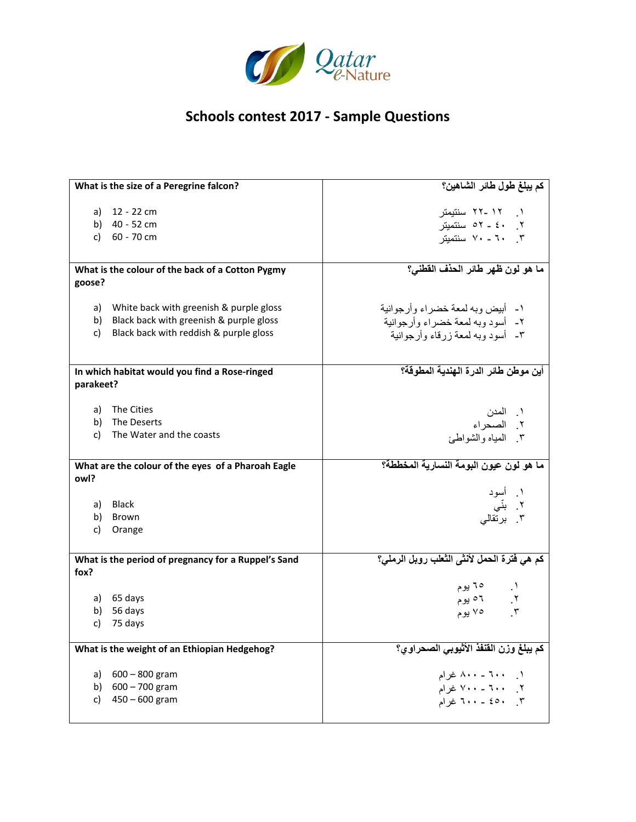

| What is the size of a Peregrine falcon?             |                                                  | كم يبلغ طول طائر الشاهين؟                   |
|-----------------------------------------------------|--------------------------------------------------|---------------------------------------------|
|                                                     |                                                  |                                             |
|                                                     | a) 12 - 22 cm                                    | ۱ ۱۲ -۲۲ سنتیمتر                            |
|                                                     | b) $40 - 52$ cm                                  | ٢. ٤٠ - ٥٢ سنتميتر                          |
| c)                                                  | 60 - 70 cm                                       | ۲. ۲۰ - ۷۰ سنتمیتر                          |
|                                                     |                                                  |                                             |
|                                                     | What is the colour of the back of a Cotton Pygmy | ما هو لون ظهر طائر الحذف القطني؟            |
| goose?                                              |                                                  |                                             |
|                                                     |                                                  |                                             |
|                                                     | a) White back with greenish & purple gloss       | ١- أبيض وبه لمعة خضراء وأرجوانية            |
|                                                     | b) Black back with greenish & purple gloss       | ٢- أسود وبه لمعة خضراء وأرجوانية            |
| c)                                                  | Black back with reddish & purple gloss           | ٣- أسود وبه لمعة ز رقاء وأرجوانية           |
|                                                     |                                                  |                                             |
|                                                     |                                                  |                                             |
|                                                     | In which habitat would you find a Rose-ringed    | أين موطن طائر الدرة الهندية المطوقة؟        |
| parakeet?                                           |                                                  |                                             |
|                                                     |                                                  |                                             |
|                                                     | a) The Cities                                    | ١. المدن                                    |
|                                                     | b) The Deserts                                   | ۲ الصحراء<br>۳ المياه والشواطئ              |
|                                                     | c) The Water and the coasts                      |                                             |
|                                                     |                                                  |                                             |
| What are the colour of the eyes of a Pharoah Eagle  |                                                  | ما هو لون عيون البومة النسارية المخططة؟     |
| owl?                                                |                                                  |                                             |
|                                                     |                                                  | ۱. أسود<br>۲. بنّـي<br>۳. برتقال <i>ی</i>   |
|                                                     | a) Black                                         |                                             |
|                                                     | b) Brown                                         |                                             |
| c)                                                  | Orange                                           |                                             |
|                                                     |                                                  |                                             |
| What is the period of pregnancy for a Ruppel's Sand |                                                  | كم هي فُترة الحمل لأنشى الثعلب رويل الرملي؟ |
| fox?                                                |                                                  |                                             |
|                                                     |                                                  | ۱. ۱۵ یوم                                   |
|                                                     | a) 65 days                                       | ٢. ٦٥ يوم                                   |
|                                                     | b) 56 days                                       | ۳. ۷۵ یوم                                   |
|                                                     | c) $75 \text{ days}$                             |                                             |
|                                                     |                                                  |                                             |
| What is the weight of an Ethiopian Hedgehog?        |                                                  | كم يبلغ وزن القنفذ الأثيوبي الصحراوي؟       |
|                                                     | a) 600 - 800 gram                                | ۱_ ۲۰۰ ـ ۸۰۰ غرام                           |
|                                                     | b) $600 - 700$ gram                              | ٢. ٢٠٠ - ٧٠٠ غرام                           |
| C)                                                  | $450 - 600$ gram                                 | ٣. ٤٥٠ - ٦٠٠ غرام                           |
|                                                     |                                                  |                                             |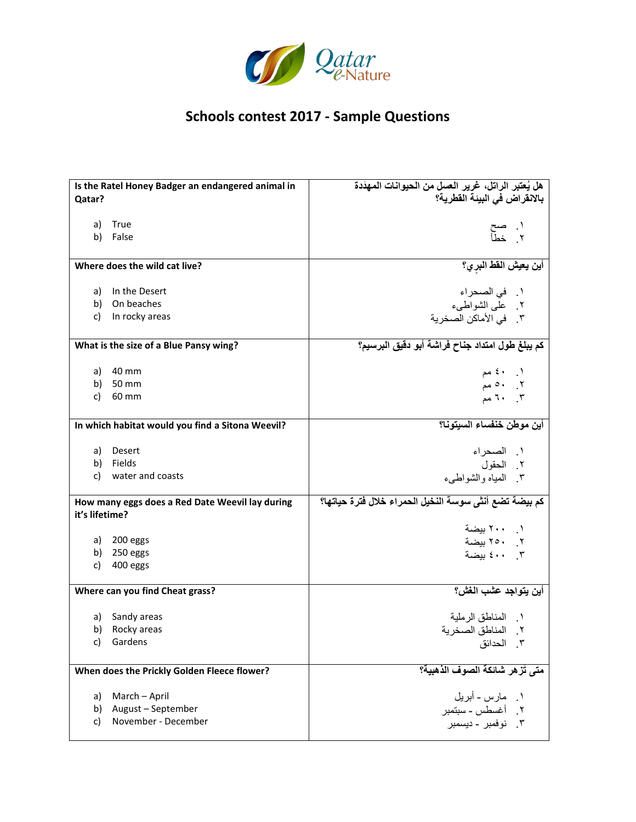

| Is the Ratel Honey Badger an endangered animal in | هل يُعتبر الراتل، غرير العسل من الحيوانات المهدَدة     |
|---------------------------------------------------|--------------------------------------------------------|
| Qatar?                                            | بالانقراض في البيئة القطرية؟                           |
|                                                   |                                                        |
| True<br>a)                                        |                                                        |
| False<br>b)                                       | ۱. صح<br>۲ خطأ                                         |
|                                                   |                                                        |
| Where does the wild cat live?                     | أين يعيش الفط البر <i>ي</i> ؟                          |
|                                                   |                                                        |
| a) In the Desert                                  | ١.   في الصحر اء                                       |
| b) On beaches                                     | ٢ على الشواطبيء                                        |
| In rocky areas<br>C)                              | ٣. في الأماكن الصخرية                                  |
| What is the size of a Blue Pansy wing?            | كم يبلغ طول امتداد جناح فراشة أبو دقيق البرسيم؟        |
| a) 40 mm                                          |                                                        |
| b) 50 mm                                          | $\xi$ ، ، ، مم<br>۲ . ه مم                             |
| c)<br>60 mm                                       | $7.$ $1.$ $7$                                          |
|                                                   |                                                        |
| In which habitat would you find a Sitona Weevil?  | أين موطن خنفساء السيتونا؟                              |
| a) Desert                                         | ١. الصحراء                                             |
| Fields<br>b)                                      | ٢. الحقول                                              |
| c)<br>water and coasts                            | ٣. المياه والشواطيء                                    |
| How many eggs does a Red Date Weevil lay during   | كم بيضة تضع أنثى سوسة النخيل الحمراء خلال فترة حياتها؟ |
| it's lifetime?                                    |                                                        |
|                                                   | ١. ٢٠٠ بيضة                                            |
| a) 200 eggs                                       | ٢. ٢٥٠ بيضة                                            |
| 250 eggs<br>b)                                    | ٢. ٤٠٠ بيضة                                            |
| 400 eggs<br>C)                                    |                                                        |
| Where can you find Cheat grass?                   | أين يتواجد عشب الغش؟                                   |
|                                                   |                                                        |
| a) Sandy areas                                    | ١    المناطق الرملية                                   |
| b) Rocky areas                                    | ٢. المناطق الصخرية                                     |
| Gardens<br>C)                                     | ٣. الحدائق                                             |
|                                                   |                                                        |
| When does the Prickly Golden Fleece flower?       | متى تُزهر شائكة الصوف الذهبية؟                         |
| March - April<br>a)                               | ۱ مارس - أبريل                                         |
| August - September<br>b)                          | ٢. أغسطس - سبتمبر                                      |
| November - December<br>C)                         | ٣. نوفمبر - ديسمبر                                     |
|                                                   |                                                        |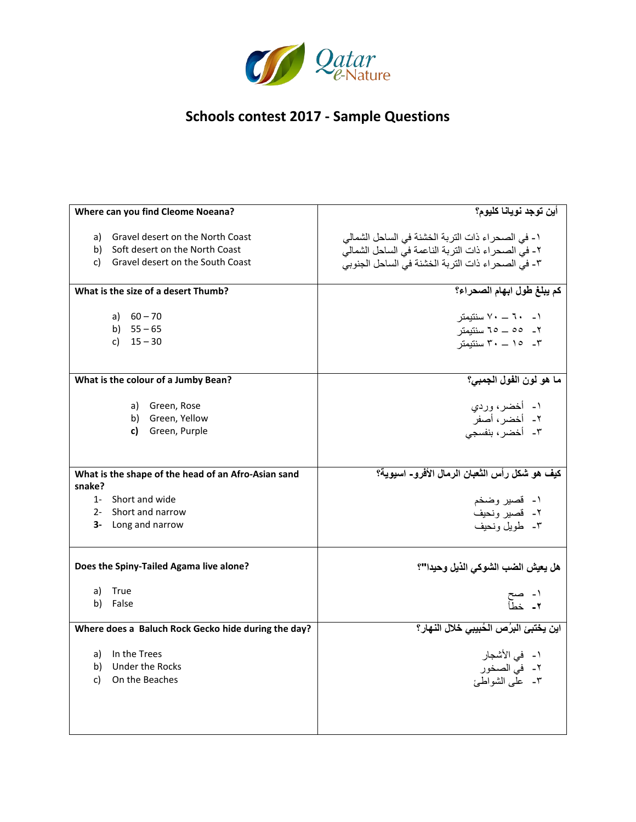

| Where can you find Cleome Noeana?                   | أين توجد نويانا كليوم؟                              |
|-----------------------------------------------------|-----------------------------------------------------|
|                                                     |                                                     |
| <b>Gravel desert on the North Coast</b><br>a)       | ١- في الصحراء ذات التربة الخشنة في الساحل الشمالي   |
| Soft desert on the North Coast<br>b)                | ٢- في الصحر اء ذات التربة الناعمة في الساحل الشمالي |
| Gravel desert on the South Coast<br>C)              | ٣- في الصحر اء ذات التربة الخشنة في الساحل الجنوبي  |
| What is the size of a desert Thumb?                 | كم يبلغ طول ابهام الصحراء؟                          |
|                                                     |                                                     |
| a) $60 - 70$                                        | ۱ - ۲۰ – ۷۰ سنتیمتر                                 |
| b) $55 - 65$                                        | ٢_ ٥٥ _ ٦٥ سنتيمتر                                  |
| c) $15 - 30$                                        | ۰- ۲۰ – ۳۰ سنتیمتر                                  |
|                                                     |                                                     |
| What is the colour of a Jumby Bean?                 | ما هو لون الفول الجمبي؟                             |
| Green, Rose<br>a)                                   |                                                     |
| Green, Yellow<br>b)                                 | ۱ـ أخضر، وردي<br>٢- أخضرٌ، أَصَفَرٌ                 |
| Green, Purple<br>c)                                 |                                                     |
|                                                     | ٣- أخضر، بنفسجى                                     |
|                                                     |                                                     |
| What is the shape of the head of an Afro-Asian sand | كيف هو شكل رأس الثعبان الرمال الأفرو- اسبوية؟       |
| snake?                                              |                                                     |
| 1- Short and wide                                   | ۱۔ قصیر وضخم                                        |
| 2- Short and narrow                                 | ٢- قصير ونحيف                                       |
| 3- Long and narrow                                  | ۳۔ طویل ونحیف                                       |
|                                                     |                                                     |
| Does the Spiny-Tailed Agama live alone?             | هل يعيش الضب الشوكي الذيل وحيدا"؟                   |
| a)<br>True                                          |                                                     |
| b)<br>False                                         | ۱- صح<br>۲- خطأ                                     |
|                                                     |                                                     |
| Where does a Baluch Rock Gecko hide during the day? | اين يختبئ البرُص الحُبيبي خلال النهار؟              |
| a) In the Trees                                     | ۱ -   في الأشجار                                    |
| b) Under the Rocks                                  | ٢- في الصخور                                        |
| On the Beaches<br>C)                                | ٣- علَّمي الشواطئ                                   |
|                                                     |                                                     |
|                                                     |                                                     |
|                                                     |                                                     |
|                                                     |                                                     |